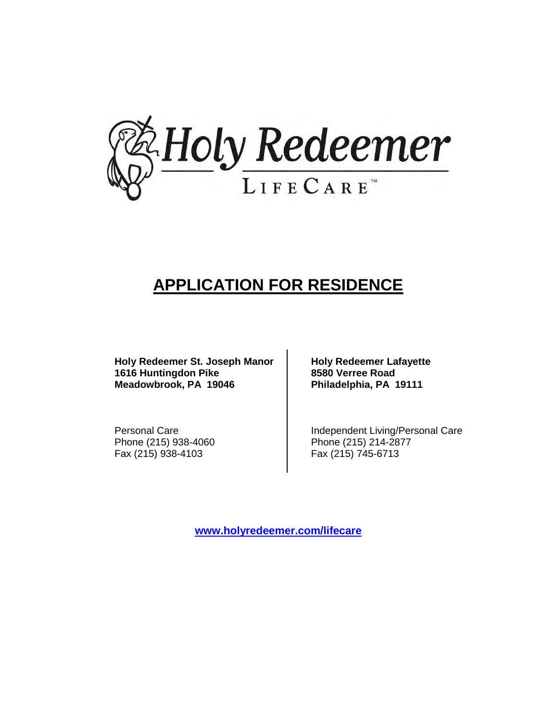

## **APPLICATION FOR RESIDENCE**

Holy Redeemer St. Joseph Manor | Holy Redeemer Lafayette 1616 Huntingdon Pike **8580 Verree Road Meadowbrook, PA 19046 Philadelphia, PA 19111**

Fax (215) 938-4103 Fax (215) 745-6713

Personal Care **Independent Living/Personal Care** Phone (215) 938-4060 Phone (215) 214-2877

**[www.holyredeemer.com/lifecare](http://www.holyredeemer.com/lifecare)**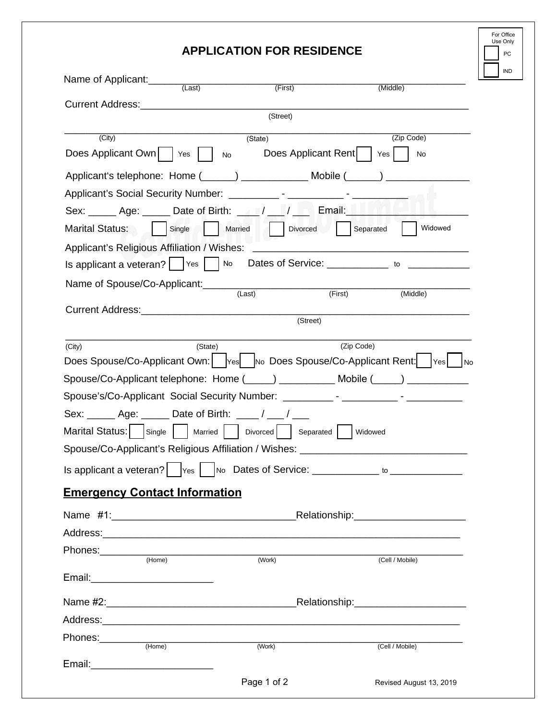## **APPLICATION FOR RESIDENCE**

| For Office<br>Use Only |     |  |  |
|------------------------|-----|--|--|
|                        | PC. |  |  |
|                        | IND |  |  |

| Name of Applicant:                                                                                                    |           |                            |                             |                                               |
|-----------------------------------------------------------------------------------------------------------------------|-----------|----------------------------|-----------------------------|-----------------------------------------------|
| <b>Current Address: Current Address:</b>                                                                              | (Last)    | (First)                    |                             | (Middle)                                      |
|                                                                                                                       |           | (Street)                   |                             |                                               |
| (City)                                                                                                                |           | (State)                    |                             | (Zip Code)                                    |
| Does Applicant Own                                                                                                    | No<br>Yes |                            | Does Applicant Rent   Yes   | No                                            |
|                                                                                                                       |           |                            |                             |                                               |
|                                                                                                                       |           |                            |                             |                                               |
| Sex: $\frac{1}{\sqrt{2}}$ Age: $\frac{1}{\sqrt{2}}$ Date of Birth: $\frac{1}{\sqrt{2}}$ / $\frac{1}{\sqrt{2}}$ Email: |           |                            |                             |                                               |
| Marital Status:                                                                                                       | Single    | Married   Divorced         | Separated                   | Widowed                                       |
| Applicant's Religious Affiliation / Wishes:                                                                           |           |                            |                             |                                               |
| Is applicant a veteran? $ $ $ $ $\vee$ $\in$ $ $ $\wedge$ $\in$                                                       |           |                            |                             | Dates of Service: ___________ _ to __________ |
| Name of Spouse/Co-Applicant:                                                                                          |           |                            |                             |                                               |
|                                                                                                                       |           | (Last)                     | (First)                     | (Middle)                                      |
|                                                                                                                       |           |                            | (Street)                    |                                               |
| (City)                                                                                                                | (State)   |                            | (Zip Code)                  |                                               |
| Does Spouse/Co-Applicant Own:   Yes   No Does Spouse/Co-Applicant Rent:   Yes                                         |           |                            |                             | l No                                          |
| Spouse/Co-Applicant telephone: Home (_____) ___________ Mobile (_____) __________                                     |           |                            |                             |                                               |
|                                                                                                                       |           |                            |                             |                                               |
| Sex: ______ Age: ______ Date of Birth: ____ / ___ /                                                                   |           |                            |                             |                                               |
| Marital Status:  <br>Single                                                                                           | Married   | Divorced                   | Separated<br><b>Widowed</b> |                                               |
| Spouse/Co-Applicant's Religious Affiliation / Wishes: __________________________                                      |           |                            |                             |                                               |
|                                                                                                                       |           |                            |                             |                                               |
| <b>Emergency Contact Information</b>                                                                                  |           |                            |                             |                                               |
|                                                                                                                       |           |                            |                             |                                               |
|                                                                                                                       |           |                            |                             |                                               |
| Phones:__________                                                                                                     |           |                            |                             |                                               |
| (Home)                                                                                                                |           | (Work)                     |                             | (Cell / Mobile)                               |
| Email: ____________________________                                                                                   |           |                            |                             |                                               |
|                                                                                                                       |           |                            |                             |                                               |
|                                                                                                                       |           |                            |                             |                                               |
| Phones:________<br>(Home)                                                                                             |           | $\overline{\text{(Work)}}$ |                             | (Cell / Mobile)                               |
|                                                                                                                       |           |                            |                             |                                               |
|                                                                                                                       |           | Page 1 of 2                |                             | Revised August 13, 2019                       |
|                                                                                                                       |           |                            |                             |                                               |